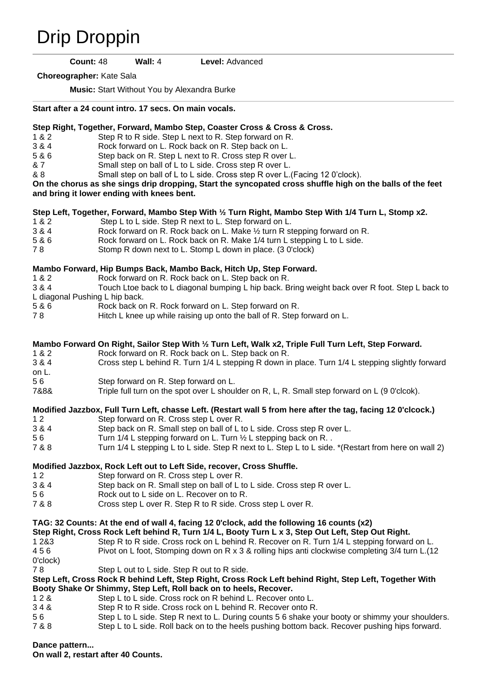# [Drip Droppin](https://www.copperknob.co.uk/stepsheets/drip-droppin-ID80323.aspx)

**Count:** 48 **Wall:** 4 **Level:** Advanced

**Choreographer:** Kate Sala

**Music:** Start Without You by Alexandra Burke

#### **Start after a 24 count intro. 17 secs. On main vocals.**

### **Step Right, Together, Forward, Mambo Step, Coaster Cross & Cross & Cross.**

- 1 & 2 Step R to R side. Step L next to R. Step forward on R.
- 3 & 4 Rock forward on L. Rock back on R. Step back on L.
- 5 & 6 Step back on R. Step L next to R. Cross step R over L.
- & 7 Small step on ball of L to L side. Cross step R over L.
- & 8 Small step on ball of L to L side. Cross step R over L.(Facing 12 0'clock).

#### **On the chorus as she sings drip dropping, Start the syncopated cross shuffle high on the balls of the feet and bring it lower ending with knees bent.**

## **Step Left, Together, Forward, Mambo Step With ½ Turn Right, Mambo Step With 1/4 Turn L, Stomp x2.**

- 1 & 2 Step L to L side. Step R next to L. Step forward on L.<br>3 & 4 Rock forward on R. Rock back on L. Make 1/2 turn R st
- Rock forward on R. Rock back on L. Make  $\frac{1}{2}$  turn R stepping forward on R.
- 5 & 6 Rock forward on L. Rock back on R. Make 1/4 turn L stepping L to L side.
- 7 8 Stomp R down next to L. Stomp L down in place. (3 0'clock)

## **Mambo Forward, Hip Bumps Back, Mambo Back, Hitch Up, Step Forward.**

- 1 & 2 Rock forward on R. Rock back on L. Step back on R.
- 3 & 4 Touch Ltoe back to L diagonal bumping L hip back. Bring weight back over R foot. Step L back to
- L diagonal Pushing L hip back.
- 5 & 6 Rock back on R. Rock forward on L. Step forward on R.
- 7 8 Hitch L knee up while raising up onto the ball of R. Step forward on L.

## **Mambo Forward On Right, Sailor Step With ½ Turn Left, Walk x2, Triple Full Turn Left, Step Forward.**

- 1 & 2 Rock forward on R. Rock back on L. Step back on R. 3 & 4 Cross step L behind R. Turn 1/4 L stepping R down in place. Turn 1/4 L stepping slightly forward on L. 5 6 Step forward on R. Step forward on L.
- 7&8& Triple full turn on the spot over L shoulder on R, L, R. Small step forward on L (9 0'clcok).

## **Modified Jazzbox, Full Turn Left, chasse Left. (Restart wall 5 from here after the tag, facing 12 0'clcock.)**

- 1 2 Step forward on R. Cross step L over R.
- 3 & 4 Step back on R. Small step on ball of L to L side. Cross step R over L.
- 5 6 Turn 1/4 L stepping forward on L. Turn  $\frac{1}{2}$  L stepping back on R.
- 7 & 8 Turn 1/4 L stepping L to L side. Step R next to L. Step L to L side. \*(Restart from here on wall 2)

## **Modified Jazzbox, Rock Left out to Left Side, recover, Cross Shuffle.**

- 1 2 Step forward on R. Cross step L over R.
- 3 & 4 Step back on R. Small step on ball of L to L side. Cross step R over L.
- 5 6 Rock out to L side on L. Recover on to R.
- 7 & 8 Cross step L over R. Step R to R side. Cross step L over R.

## **TAG: 32 Counts: At the end of wall 4, facing 12 0'clock, add the following 16 counts (x2)**

**Step Right, Cross Rock Left behind R, Turn 1/4 L, Booty Turn L x 3, Step Out Left, Step Out Right.**

1 2&3 Step R to R side. Cross rock on L behind R. Recover on R. Turn 1/4 L stepping forward on L. 4 5 6 Pivot on L foot, Stomping down on R x 3 & rolling hips anti clockwise completing 3/4 turn L.(12 0'clock) 7 8 Step L out to L side. Step R out to R side.

## **Step Left, Cross Rock R behind Left, Step Right, Cross Rock Left behind Right, Step Left, Together With Booty Shake Or Shimmy, Step Left, Roll back on to heels, Recover.**

- 1 2 & Step L to L side. Cross rock on R behind L. Recover onto L.
- 3 4 & Step R to R side. Cross rock on L behind R. Recover onto R.
- 5 6 Step L to L side. Step R next to L. During counts 5 6 shake your booty or shimmy your shoulders.
- 7 & 8 Step L to L side. Roll back on to the heels pushing bottom back. Recover pushing hips forward.

## **Dance pattern...**

**On wall 2, restart after 40 Counts.**